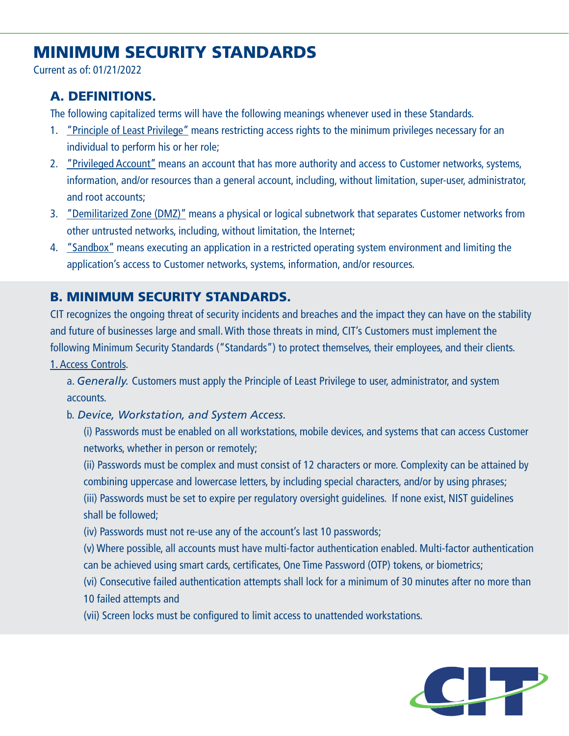# MINIMUM SECURITY STANDARDS

Current as of: 01/21/2022

## A. DEFINITIONS.

The following capitalized terms will have the following meanings whenever used in these Standards.

- 1. "Principle of Least Privilege" means restricting access rights to the minimum privileges necessary for an individual to perform his or her role;
- 2. "Privileged Account" means an account that has more authority and access to Customer networks, systems, information, and/or resources than a general account, including, without limitation, super-user, administrator, and root accounts;
- 3. "Demilitarized Zone (DMZ)" means a physical or logical subnetwork that separates Customer networks from other untrusted networks, including, without limitation, the Internet;
- 4. "Sandbox" means executing an application in a restricted operating system environment and limiting the application's access to Customer networks, systems, information, and/or resources.

## B. MINIMUM SECURITY STANDARDS.

CIT recognizes the ongoing threat of security incidents and breaches and the impact they can have on the stability and future of businesses large and small. With those threats in mind, CIT's Customers must implement the following Minimum Security Standards ("Standards") to protect themselves, their employees, and their clients. 1. Access Controls.

a. *Generally.* Customers must apply the Principle of Least Privilege to user, administrator, and system accounts.

### b. *Device, Workstation, and System Access.*

(i) Passwords must be enabled on all workstations, mobile devices, and systems that can access Customer networks, whether in person or remotely;

(ii) Passwords must be complex and must consist of 12 characters or more. Complexity can be attained by combining uppercase and lowercase letters, by including special characters, and/or by using phrases;

(iii) Passwords must be set to expire per regulatory oversight guidelines. If none exist, NIST guidelines shall be followed;

- (iv) Passwords must not re-use any of the account's last 10 passwords;
- (v) Where possible, all accounts must have multi-factor authentication enabled. Multi-factor authentication can be achieved using smart cards, certificates, One Time Password (OTP) tokens, or biometrics;
- (vi) Consecutive failed authentication attempts shall lock for a minimum of 30 minutes after no more than 10 failed attempts and
- (vii) Screen locks must be configured to limit access to unattended workstations.

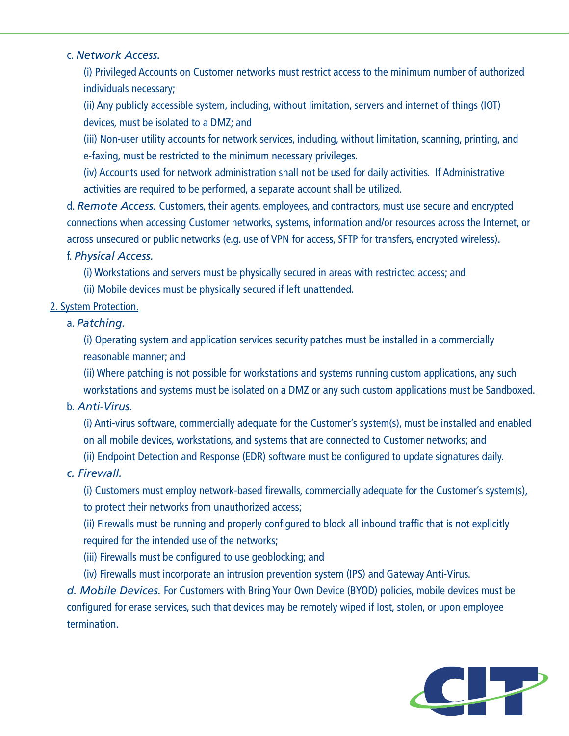#### c. *Network Access.*

(i) Privileged Accounts on Customer networks must restrict access to the minimum number of authorized individuals necessary;

(ii) Any publicly accessible system, including, without limitation, servers and internet of things (IOT) devices, must be isolated to a DMZ; and

(iii) Non-user utility accounts for network services, including, without limitation, scanning, printing, and e-faxing, must be restricted to the minimum necessary privileges.

(iv) Accounts used for network administration shall not be used for daily activities. If Administrative activities are required to be performed, a separate account shall be utilized.

d. *Remote Access.* Customers, their agents, employees, and contractors, must use secure and encrypted connections when accessing Customer networks, systems, information and/or resources across the Internet, or across unsecured or public networks (e.g. use of VPN for access, SFTP for transfers, encrypted wireless). f. *Physical Access.*

(i) Workstations and servers must be physically secured in areas with restricted access; and

(ii) Mobile devices must be physically secured if left unattended.

#### 2. System Protection.

#### a. *Patching.*

(i) Operating system and application services security patches must be installed in a commercially reasonable manner; and

(ii) Where patching is not possible for workstations and systems running custom applications, any such workstations and systems must be isolated on a DMZ or any such custom applications must be Sandboxed.

#### b. *Anti-Virus.*

(i) Anti-virus software, commercially adequate for the Customer's system(s), must be installed and enabled on all mobile devices, workstations, and systems that are connected to Customer networks; and

(ii) Endpoint Detection and Response (EDR) software must be configured to update signatures daily.

### *c. Firewall.*

(i) Customers must employ network-based firewalls, commercially adequate for the Customer's system(s), to protect their networks from unauthorized access;

(ii) Firewalls must be running and properly configured to block all inbound traffic that is not explicitly required for the intended use of the networks;

- (iii) Firewalls must be configured to use geoblocking; and
- (iv) Firewalls must incorporate an intrusion prevention system (IPS) and Gateway Anti-Virus.

*d. Mobile Devices.* For Customers with Bring Your Own Device (BYOD) policies, mobile devices must be configured for erase services, such that devices may be remotely wiped if lost, stolen, or upon employee termination.